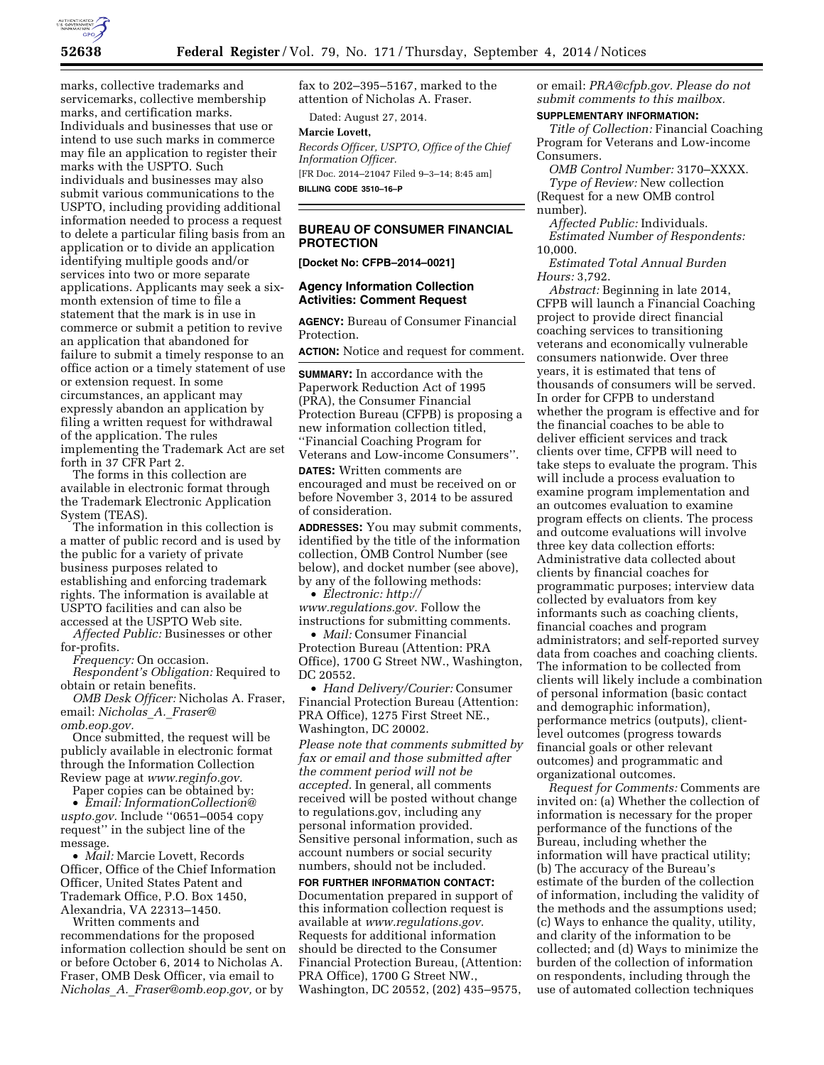

marks, collective trademarks and servicemarks, collective membership marks, and certification marks. Individuals and businesses that use or intend to use such marks in commerce may file an application to register their marks with the USPTO. Such individuals and businesses may also submit various communications to the USPTO, including providing additional information needed to process a request to delete a particular filing basis from an application or to divide an application identifying multiple goods and/or services into two or more separate applications. Applicants may seek a sixmonth extension of time to file a statement that the mark is in use in commerce or submit a petition to revive an application that abandoned for failure to submit a timely response to an office action or a timely statement of use or extension request. In some circumstances, an applicant may expressly abandon an application by filing a written request for withdrawal of the application. The rules implementing the Trademark Act are set forth in 37 CFR Part 2.

The forms in this collection are available in electronic format through the Trademark Electronic Application System (TEAS).

The information in this collection is a matter of public record and is used by the public for a variety of private business purposes related to establishing and enforcing trademark rights. The information is available at USPTO facilities and can also be accessed at the USPTO Web site.

*Affected Public:* Businesses or other for-profits.

*Frequency:* On occasion.

*Respondent's Obligation:* Required to obtain or retain benefits.

*OMB Desk Officer:* Nicholas A. Fraser, email: *[Nicholas](mailto:Nicholas_A._Fraser@omb.eop.gov)*\_*A.*\_*Fraser@ [omb.eop.gov.](mailto:Nicholas_A._Fraser@omb.eop.gov)* 

Once submitted, the request will be publicly available in electronic format through the Information Collection Review page at *[www.reginfo.gov.](http://www.reginfo.gov)* 

Paper copies can be obtained by:

• *Email: [InformationCollection@](mailto:InformationCollection@uspto.gov) [uspto.gov.](mailto:InformationCollection@uspto.gov)* Include ''0651–0054 copy request'' in the subject line of the message.

• *Mail:* Marcie Lovett, Records Officer, Office of the Chief Information Officer, United States Patent and Trademark Office, P.O. Box 1450, Alexandria, VA 22313–1450.

Written comments and recommendations for the proposed information collection should be sent on or before October 6, 2014 to Nicholas A. Fraser, OMB Desk Officer, via email to *Nicholas*\_*A.*\_*[Fraser@omb.eop.gov,](mailto:Nicholas_A._Fraser@omb.eop.gov)* or by

fax to 202–395–5167, marked to the attention of Nicholas A. Fraser.

Dated: August 27, 2014.

**Marcie Lovett,** 

*Records Officer, USPTO, Office of the Chief Information Officer.*  [FR Doc. 2014–21047 Filed 9–3–14; 8:45 am]

**BILLING CODE 3510–16–P** 

# **BUREAU OF CONSUMER FINANCIAL PROTECTION**

**[Docket No: CFPB–2014–0021]** 

### **Agency Information Collection Activities: Comment Request**

**AGENCY:** Bureau of Consumer Financial Protection.

**ACTION:** Notice and request for comment.

**SUMMARY:** In accordance with the Paperwork Reduction Act of 1995 (PRA), the Consumer Financial Protection Bureau (CFPB) is proposing a new information collection titled, ''Financial Coaching Program for Veterans and Low-income Consumers''.

**DATES:** Written comments are encouraged and must be received on or before November 3, 2014 to be assured of consideration.

**ADDRESSES:** You may submit comments, identified by the title of the information collection, OMB Control Number (see below), and docket number (see above), by any of the following methods:

• *Electronic: [http://](http://www.regulations.gov) [www.regulations.gov.](http://www.regulations.gov)* Follow the instructions for submitting comments.

• *Mail:* Consumer Financial Protection Bureau (Attention: PRA Office), 1700 G Street NW., Washington, DC 20552.

• *Hand Delivery/Courier:* Consumer Financial Protection Bureau (Attention: PRA Office), 1275 First Street NE., Washington, DC 20002.

*Please note that comments submitted by fax or email and those submitted after the comment period will not be accepted.* In general, all comments received will be posted without change to regulations.gov, including any personal information provided. Sensitive personal information, such as account numbers or social security numbers, should not be included.

**FOR FURTHER INFORMATION CONTACT:**  Documentation prepared in support of this information collection request is available at *[www.regulations.gov.](http://www.regulations.gov)*  Requests for additional information should be directed to the Consumer Financial Protection Bureau, (Attention: PRA Office), 1700 G Street NW., Washington, DC 20552, (202) 435–9575,

or email: *[PRA@cfpb.gov.](mailto:PRA@cfpb.gov) Please do not submit comments to this mailbox.* 

### **SUPPLEMENTARY INFORMATION:**

*Title of Collection:* Financial Coaching Program for Veterans and Low-income Consumers.

*OMB Control Number:* 3170–XXXX.

*Type of Review:* New collection (Request for a new OMB control number).

*Affected Public:* Individuals. *Estimated Number of Respondents:*  10,000.

*Estimated Total Annual Burden Hours:* 3,792.

*Abstract:* Beginning in late 2014, CFPB will launch a Financial Coaching project to provide direct financial coaching services to transitioning veterans and economically vulnerable consumers nationwide. Over three years, it is estimated that tens of thousands of consumers will be served. In order for CFPB to understand whether the program is effective and for the financial coaches to be able to deliver efficient services and track clients over time, CFPB will need to take steps to evaluate the program. This will include a process evaluation to examine program implementation and an outcomes evaluation to examine program effects on clients. The process and outcome evaluations will involve three key data collection efforts: Administrative data collected about clients by financial coaches for programmatic purposes; interview data collected by evaluators from key informants such as coaching clients, financial coaches and program administrators; and self-reported survey data from coaches and coaching clients. The information to be collected from clients will likely include a combination of personal information (basic contact and demographic information), performance metrics (outputs), clientlevel outcomes (progress towards financial goals or other relevant outcomes) and programmatic and organizational outcomes.

*Request for Comments:* Comments are invited on: (a) Whether the collection of information is necessary for the proper performance of the functions of the Bureau, including whether the information will have practical utility; (b) The accuracy of the Bureau's estimate of the burden of the collection of information, including the validity of the methods and the assumptions used; (c) Ways to enhance the quality, utility, and clarity of the information to be collected; and (d) Ways to minimize the burden of the collection of information on respondents, including through the use of automated collection techniques